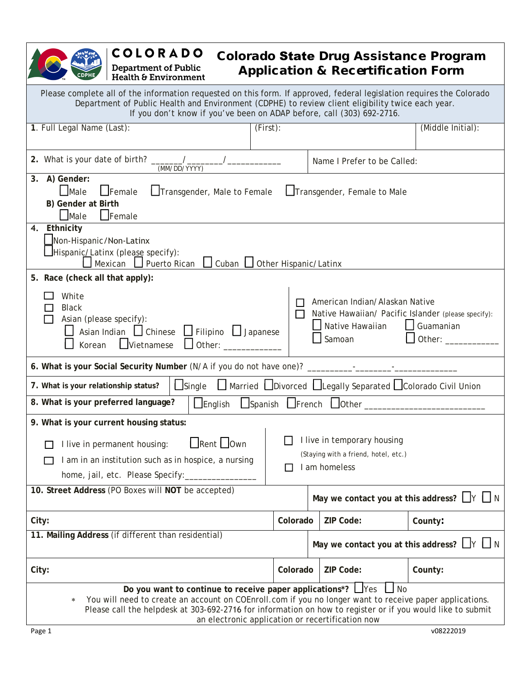# **COLORADO Department of Public<br>Health & Environment**

# Colorado State Drug Assistance Program Application & Recertification Form

| Please complete all of the information requested on this form. If approved, federal legislation requires the Colorado<br>Department of Public Health and Environment (CDPHE) to review client eligibility twice each year.<br>If you don't know if you've been on ADAP before, call (303) 692-2716.                                                                                      |                               |                                                                 |                                                     |  |
|------------------------------------------------------------------------------------------------------------------------------------------------------------------------------------------------------------------------------------------------------------------------------------------------------------------------------------------------------------------------------------------|-------------------------------|-----------------------------------------------------------------|-----------------------------------------------------|--|
| 1. Full Legal Name (Last):                                                                                                                                                                                                                                                                                                                                                               | (First):                      |                                                                 | (Middle Initial):                                   |  |
| 2. What is your date of birth? _______/_<br>(MM/DD/YYYY)                                                                                                                                                                                                                                                                                                                                 |                               | Name I Prefer to be Called:                                     |                                                     |  |
| 3. A) Gender:<br>Male<br>$\Box$ Female<br>Transgender, Male to Female<br>B) Gender at Birth<br>$\Box$ Male<br>Female                                                                                                                                                                                                                                                                     |                               | Transgender, Female to Male                                     |                                                     |  |
| Ethnicity<br>4.<br>Non-Hispanic/Non-Latinx<br>Hispanic/Latinx (please specify):<br>Mexican<br>Puerto Rican                                                                                                                                                                                                                                                                               | Cuban   Other Hispanic/Latinx |                                                                 |                                                     |  |
| 5. Race (check all that apply):<br>White<br>American Indian/Alaskan Native<br><b>Black</b><br>Native Hawaiian/ Pacific Islander (please specify):<br>$\Box$<br>Asian (please specify):<br>Native Hawaiian<br>$\Box$ Guamanian<br>Asian Indian   Chinese   Filipino   Japanese<br>Samoan<br>Other: _<br>$\Box$ Vietnamese<br>Other:<br>Korean                                             |                               |                                                                 |                                                     |  |
| 6. What is your Social Security Number (N/A if you do not have one)? _________-_____________________                                                                                                                                                                                                                                                                                     |                               |                                                                 |                                                     |  |
| 7. What is your relationship status?<br>$\Box$ Single                                                                                                                                                                                                                                                                                                                                    |                               | □ Married □ Divorced □ Legally Separated □ Colorado Civil Union |                                                     |  |
| 8. What is your preferred language?<br>$L$ English                                                                                                                                                                                                                                                                                                                                       |                               | $\Box$ Spanish $\Box$ French $\Box$ Other $\Box$                |                                                     |  |
| 9. What is your current housing status:<br>I live in temporary housing<br>Rent Own<br>I live in permanent housing:<br>(Staying with a friend, hotel, etc.)<br>I am in an institution such as in hospice, a nursing<br>I am homeless<br>home, jail, etc. Please Specify:                                                                                                                  |                               |                                                                 |                                                     |  |
| 10. Street Address (PO Boxes will NOT be accepted)                                                                                                                                                                                                                                                                                                                                       |                               |                                                                 | May we contact you at this address? $\Box Y \Box N$ |  |
| City:                                                                                                                                                                                                                                                                                                                                                                                    | Colorado                      | ZIP Code:                                                       | County:                                             |  |
| 11. Mailing Address (if different than residential)                                                                                                                                                                                                                                                                                                                                      |                               |                                                                 | May we contact you at this address? $\Box Y \Box N$ |  |
| City:                                                                                                                                                                                                                                                                                                                                                                                    | Colorado                      | ZIP Code:                                                       | County:                                             |  |
| Do you want to continue to receive paper applications*? $\Box$ Yes<br>$\overline{\phantom{a}}$ No<br>You will need to create an account on COEnroll.com if you no longer want to receive paper applications.<br>$\ast$<br>Please call the helpdesk at 303-692-2716 for information on how to register or if you would like to submit<br>an electronic application or recertification now |                               |                                                                 |                                                     |  |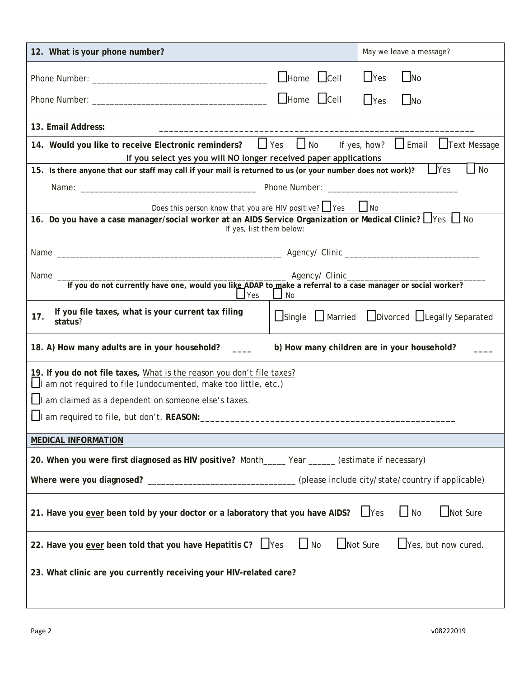| 12. What is your phone number?                                                                                                                   |                         | May we leave a message?                             |  |
|--------------------------------------------------------------------------------------------------------------------------------------------------|-------------------------|-----------------------------------------------------|--|
|                                                                                                                                                  | $\Box$ Home $\Box$ Cell | $\Box$ Yes<br>$\Box$ No                             |  |
|                                                                                                                                                  |                         | $\Box$ Yes<br>$\Box$ No                             |  |
| 13. Email Address:                                                                                                                               |                         |                                                     |  |
| 14. Would you like to receive Electronic reminders?<br>If you select yes you will NO longer received paper applications                          | $\Box$ No<br>$\Box$ Yes | $\Box$ Email<br>$\Box$ Text Message<br>If yes, how? |  |
| 15. Is there anyone that our staff may call if your mail is returned to us (or your number does not work)?                                       |                         | $\Box$ Yes<br><b>No</b>                             |  |
|                                                                                                                                                  |                         |                                                     |  |
| Does this person know that you are HIV positive? $\Box$ Yes                                                                                      |                         | $\Box$ No                                           |  |
| 16. Do you have a case manager/social worker at an AIDS Service Organization or Medical Clinic? Ves In<br>If yes, list them below:               |                         |                                                     |  |
|                                                                                                                                                  |                         |                                                     |  |
|                                                                                                                                                  |                         |                                                     |  |
| Yes                                                                                                                                              | No                      |                                                     |  |
| If you file taxes, what is your current tax filing<br>17.<br>status?                                                                             |                         | Single Married Divorced Legally Separated           |  |
| 18. A) How many adults are in your household?<br>b) How many children are in your household?                                                     |                         |                                                     |  |
| 19. If you do not file taxes, What is the reason you don't file taxes?<br>$\Box$ I am not required to file (undocumented, make too little, etc.) |                         |                                                     |  |
| $\Box$ I am claimed as a dependent on someone else's taxes.                                                                                      |                         |                                                     |  |
| I am required to file, but don't. REASON:                                                                                                        |                         |                                                     |  |
| <b>MEDICAL INFORMATION</b>                                                                                                                       |                         |                                                     |  |
| 20. When you were first diagnosed as HIV positive? Month____ Year _____ (estimate if necessary)                                                  |                         |                                                     |  |
| Where were you diagnosed? ___________________________________(please include city/state/country if applicable)                                   |                         |                                                     |  |
| $\Box$ Yes<br>Not Sure<br>21. Have you ever been told by your doctor or a laboratory that you have AIDS?<br>$\Box$ No                            |                         |                                                     |  |
| 22. Have you ever been told that you have Hepatitis C? U Yes                                                                                     | $\mathsf{L}$<br>No      | Not Sure<br>$\Box$ Yes, but now cured.              |  |
| 23. What clinic are you currently receiving your HIV-related care?                                                                               |                         |                                                     |  |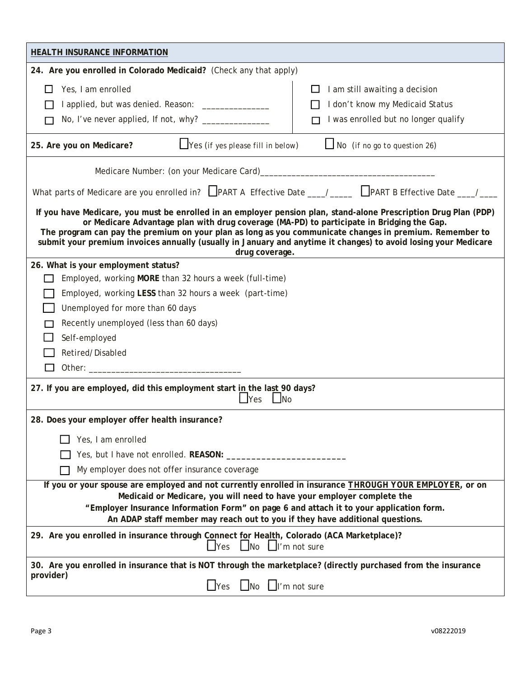| <b>HEALTH INSURANCE INFORMATION</b>                                                                                                                                                                                                                                                                                                                                                                                                                           |                                                                                                           |  |  |  |
|---------------------------------------------------------------------------------------------------------------------------------------------------------------------------------------------------------------------------------------------------------------------------------------------------------------------------------------------------------------------------------------------------------------------------------------------------------------|-----------------------------------------------------------------------------------------------------------|--|--|--|
| 24. Are you enrolled in Colorado Medicaid? (Check any that apply)                                                                                                                                                                                                                                                                                                                                                                                             |                                                                                                           |  |  |  |
| Yes, I am enrolled<br>I applied, but was denied. Reason: _______________                                                                                                                                                                                                                                                                                                                                                                                      | I am still awaiting a decision<br>I don't know my Medicaid Status<br>I was enrolled but no longer qualify |  |  |  |
| $\Box$ Yes (if yes please fill in below)<br>25. Are you on Medicare?                                                                                                                                                                                                                                                                                                                                                                                          | $\Box$ No (if no go to question 26)                                                                       |  |  |  |
| What parts of Medicare are you enrolled in? $\Box$ PART A Effective Date ___/____ $\Box$ PART B Effective Date ___/___                                                                                                                                                                                                                                                                                                                                        |                                                                                                           |  |  |  |
| If you have Medicare, you must be enrolled in an employer pension plan, stand-alone Prescription Drug Plan (PDP)<br>or Medicare Advantage plan with drug coverage (MA-PD) to participate in Bridging the Gap.<br>The program can pay the premium on your plan as long as you communicate changes in premium. Remember to<br>submit your premium invoices annually (usually in January and anytime it changes) to avoid losing your Medicare<br>drug coverage. |                                                                                                           |  |  |  |
| 26. What is your employment status?                                                                                                                                                                                                                                                                                                                                                                                                                           |                                                                                                           |  |  |  |
| Employed, working MORE than 32 hours a week (full-time)                                                                                                                                                                                                                                                                                                                                                                                                       |                                                                                                           |  |  |  |
| Employed, working LESS than 32 hours a week (part-time)                                                                                                                                                                                                                                                                                                                                                                                                       |                                                                                                           |  |  |  |
| Unemployed for more than 60 days                                                                                                                                                                                                                                                                                                                                                                                                                              |                                                                                                           |  |  |  |
| Recently unemployed (less than 60 days)                                                                                                                                                                                                                                                                                                                                                                                                                       |                                                                                                           |  |  |  |
| Self-employed                                                                                                                                                                                                                                                                                                                                                                                                                                                 |                                                                                                           |  |  |  |
| Retired/Disabled                                                                                                                                                                                                                                                                                                                                                                                                                                              |                                                                                                           |  |  |  |
|                                                                                                                                                                                                                                                                                                                                                                                                                                                               |                                                                                                           |  |  |  |
| 27. If you are employed, did this employment start in the last 90 days?<br>$\Box$ Yes<br>$\Box$ No                                                                                                                                                                                                                                                                                                                                                            |                                                                                                           |  |  |  |
| 28. Does your employer offer health insurance?                                                                                                                                                                                                                                                                                                                                                                                                                |                                                                                                           |  |  |  |
| Yes, I am enrolled                                                                                                                                                                                                                                                                                                                                                                                                                                            |                                                                                                           |  |  |  |
|                                                                                                                                                                                                                                                                                                                                                                                                                                                               |                                                                                                           |  |  |  |
| My employer does not offer insurance coverage                                                                                                                                                                                                                                                                                                                                                                                                                 |                                                                                                           |  |  |  |
| If you or your spouse are employed and not currently enrolled in insurance THROUGH YOUR EMPLOYER, or on<br>Medicaid or Medicare, you will need to have your employer complete the<br>"Employer Insurance Information Form" on page 6 and attach it to your application form.<br>An ADAP staff member may reach out to you if they have additional questions.                                                                                                  |                                                                                                           |  |  |  |
| 29. Are you enrolled in insurance through Connect for Health, Colorado (ACA Marketplace)?<br>$\blacksquare$ No<br>$\Box$ I'm not sure<br>$\mathsf{\sim}$ Yes                                                                                                                                                                                                                                                                                                  |                                                                                                           |  |  |  |
| 30. Are you enrolled in insurance that is NOT through the marketplace? (directly purchased from the insurance                                                                                                                                                                                                                                                                                                                                                 |                                                                                                           |  |  |  |
| provider)<br>$\Box$ No $\Box$ I'm not sure<br>$\sqcup$ Yes                                                                                                                                                                                                                                                                                                                                                                                                    |                                                                                                           |  |  |  |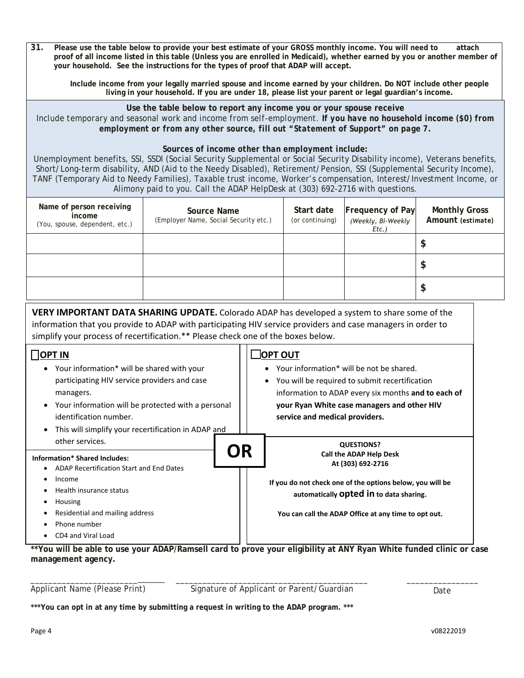| 31.<br>Please use the table below to provide your best estimate of your GROSS monthly income. You will need to<br>attach<br>proof of all income listed in this table (Unless you are enrolled in Medicaid), whether earned by you or another member of<br>your household. See the instructions for the types of proof that ADAP will accept.                            |                                                                               |           |                                                                                                    |                                                           |                                           |  |
|-------------------------------------------------------------------------------------------------------------------------------------------------------------------------------------------------------------------------------------------------------------------------------------------------------------------------------------------------------------------------|-------------------------------------------------------------------------------|-----------|----------------------------------------------------------------------------------------------------|-----------------------------------------------------------|-------------------------------------------|--|
| Include income from your legally married spouse and income earned by your children. Do NOT include other people<br>living in your household. If you are under 18, please list your parent or legal guardian's income.                                                                                                                                                   |                                                                               |           |                                                                                                    |                                                           |                                           |  |
| Use the table below to report any income you or your spouse receive<br>Include temporary and seasonal work and income from self-employment. If you have no household income (\$0) from<br>employment or from any other source, fill out "Statement of Support" on page 7.<br>Sources of income other than employment include:                                           |                                                                               |           |                                                                                                    |                                                           |                                           |  |
| Unemployment benefits, SSI, SSDI (Social Security Supplemental or Social Security Disability income), Veterans benefits,<br>Short/Long-term disability, AND (Aid to the Needy Disabled), Retirement/Pension, SSI (Supplemental Security Income),<br>TANF (Temporary Aid to Needy Families), Taxable trust income, Worker's compensation, Interest/Investment Income, or | Alimony paid to you. Call the ADAP HelpDesk at (303) 692-2716 with questions. |           |                                                                                                    |                                                           |                                           |  |
| Name of person receiving<br>income<br>(You, spouse, dependent, etc.)                                                                                                                                                                                                                                                                                                    | <b>Source Name</b><br>(Employer Name, Social Security etc.)                   |           | Start date<br>(or continuing)                                                                      | Frequency of Pay<br>(Weekly, Bi-Weekly<br>$Etc.$ )        | <b>Monthly Gross</b><br>Amount (estimate) |  |
|                                                                                                                                                                                                                                                                                                                                                                         |                                                                               |           |                                                                                                    |                                                           | \$                                        |  |
|                                                                                                                                                                                                                                                                                                                                                                         |                                                                               |           |                                                                                                    |                                                           | \$                                        |  |
|                                                                                                                                                                                                                                                                                                                                                                         |                                                                               |           |                                                                                                    |                                                           | \$                                        |  |
| VERY IMPORTANT DATA SHARING UPDATE. Colorado ADAP has developed a system to share some of the<br>information that you provide to ADAP with participating HIV service providers and case managers in order to<br>simplify your process of recertification.** Please check one of the boxes below.                                                                        |                                                                               |           |                                                                                                    |                                                           |                                           |  |
| $\bigcap$ OPT IN                                                                                                                                                                                                                                                                                                                                                        |                                                                               | OPT OUT   |                                                                                                    |                                                           |                                           |  |
| • Your information* will be shared with your                                                                                                                                                                                                                                                                                                                            |                                                                               |           | Your information* will be not be shared.                                                           |                                                           |                                           |  |
| participating HIV service providers and case<br>managers.                                                                                                                                                                                                                                                                                                               |                                                                               |           | You will be required to submit recertification                                                     |                                                           |                                           |  |
| $\bullet$                                                                                                                                                                                                                                                                                                                                                               | Your information will be protected with a personal                            |           | information to ADAP every six months and to each of<br>your Ryan White case managers and other HIV |                                                           |                                           |  |
| identification number.                                                                                                                                                                                                                                                                                                                                                  |                                                                               |           | service and medical providers.                                                                     |                                                           |                                           |  |
| This will simplify your recertification in ADAP and                                                                                                                                                                                                                                                                                                                     |                                                                               |           |                                                                                                    |                                                           |                                           |  |
| other services.                                                                                                                                                                                                                                                                                                                                                         |                                                                               | <b>OR</b> |                                                                                                    | <b>QUESTIONS?</b>                                         |                                           |  |
| <b>Information* Shared Includes:</b><br>• ADAP Recertification Start and End Dates                                                                                                                                                                                                                                                                                      |                                                                               |           |                                                                                                    | <b>Call the ADAP Help Desk</b><br>At (303) 692-2716       |                                           |  |
| Income<br>Health insurance status                                                                                                                                                                                                                                                                                                                                       |                                                                               |           |                                                                                                    | If you do not check one of the options below, you will be |                                           |  |
| Housing                                                                                                                                                                                                                                                                                                                                                                 |                                                                               |           |                                                                                                    | automatically Opted in to data sharing.                   |                                           |  |
| Residential and mailing address                                                                                                                                                                                                                                                                                                                                         |                                                                               |           |                                                                                                    | You can call the ADAP Office at any time to opt out.      |                                           |  |
| Phone number                                                                                                                                                                                                                                                                                                                                                            |                                                                               |           |                                                                                                    |                                                           |                                           |  |
| CD4 and Viral Load                                                                                                                                                                                                                                                                                                                                                      |                                                                               |           |                                                                                                    |                                                           |                                           |  |
| ** You will be able to use your ADAP/Ramsell card to prove your eligibility at ANY Ryan White funded clinic or case<br>management agency.                                                                                                                                                                                                                               |                                                                               |           |                                                                                                    |                                                           |                                           |  |

\_\_\_\_\_\_\_\_\_\_\_\_\_\_\_\_\_\_\_\_\_\_\_\_\_\_\_\_\_\_ \_\_\_\_\_\_\_\_\_\_\_\_\_\_\_\_ Applicant Name (Please Print)

\_\_\_\_\_\_\_\_\_\_\_\_\_\_\_\_\_\_\_\_\_\_\_\_\_\_\_\_\_\_\_\_\_\_\_\_\_\_\_\_\_\_\_ Signature of Applicant or Parent/Guardian density on the Date

**\*\*\*You can opt in at any time by submitting a request in writing to the ADAP program. \*\*\***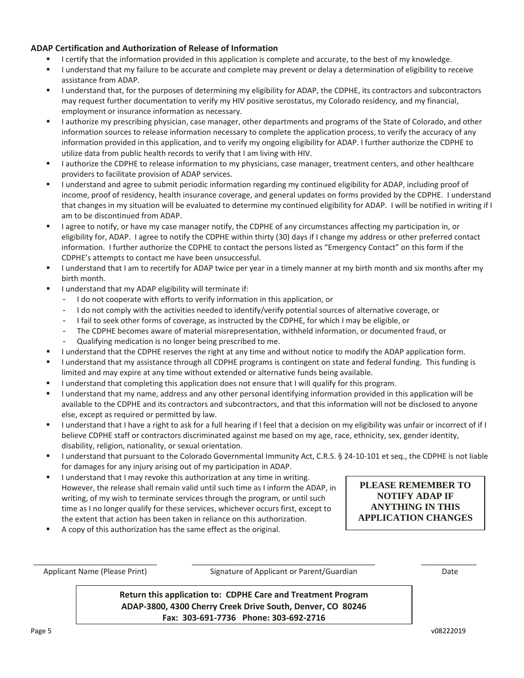### **ADAP Certification and Authorization of Release of Information**

- I certify that the information provided in this application is complete and accurate, to the best of my knowledge.
- I understand that my failure to be accurate and complete may prevent or delay a determination of eligibility to receive assistance from ADAP.
- I understand that, for the purposes of determining my eligibility for ADAP, the CDPHE, its contractors and subcontractors may request further documentation to verify my HIV positive serostatus, my Colorado residency, and my financial, employment or insurance information as necessary.
- I authorize my prescribing physician, case manager, other departments and programs of the State of Colorado, and other information sources to release information necessary to complete the application process, to verify the accuracy of any information provided in this application, and to verify my ongoing eligibility for ADAP. I further authorize the CDPHE to utilize data from public health records to verify that I am living with HIV.
- I authorize the CDPHE to release information to my physicians, case manager, treatment centers, and other healthcare providers to facilitate provision of ADAP services.
- I understand and agree to submit periodic information regarding my continued eligibility for ADAP, including proof of income, proof of residency, health insurance coverage, and general updates on forms provided by the CDPHE. I understand that changes in my situation will be evaluated to determine my continued eligibility for ADAP. I will be notified in writing if I am to be discontinued from ADAP.
- I agree to notify, or have my case manager notify, the CDPHE of any circumstances affecting my participation in, or eligibility for, ADAP. I agree to notify the CDPHE within thirty (30) days if I change my address or other preferred contact information. I further authorize the CDPHE to contact the persons listed as "Emergency Contact" on this form if the CDPHE's attempts to contact me have been unsuccessful.
- I understand that I am to recertify for ADAP twice per year in a timely manner at my birth month and six months after my birth month.
- I understand that my ADAP eligibility will terminate if:
	- I do not cooperate with efforts to verify information in this application, or<br>- I do not comply with the activities needed to identify/verify potential sour-
	- I do not comply with the activities needed to identify/verify potential sources of alternative coverage, or
	- I fail to seek other forms of coverage, as instructed by the CDPHE, for which I may be eligible, or
	- The CDPHE becomes aware of material misrepresentation, withheld information, or documented fraud, or - Qualifying medication is no longer being prescribed to me.
- I understand that the CDPHE reserves the right at any time and without notice to modify the ADAP application form.
- I understand that my assistance through all CDPHE programs is contingent on state and federal funding. This funding is limited and may expire at any time without extended or alternative funds being available.
- I understand that completing this application does not ensure that I will qualify for this program.
- I understand that my name, address and any other personal identifying information provided in this application will be available to the CDPHE and its contractors and subcontractors, and that this information will not be disclosed to anyone else, except as required or permitted by law.
- I understand that I have a right to ask for a full hearing if I feel that a decision on my eligibility was unfair or incorrect of if I believe CDPHE staff or contractors discriminated against me based on my age, race, ethnicity, sex, gender identity, disability, religion, nationality, or sexual orientation.
- I understand that pursuant to the Colorado Governmental Immunity Act, C.R.S. § 24-10-101 et seq., the CDPHE is not liable for damages for any injury arising out of my participation in ADAP.
- I understand that I may revoke this authorization at any time in writing. However, the release shall remain valid until such time as I inform the ADAP, in writing, of my wish to terminate services through the program, or until such time as I no longer qualify for these services, whichever occurs first, except to the extent that action has been taken in reliance on this authorization.
- A copy of this authorization has the same effect as the original.

\_\_\_\_\_\_\_\_\_\_\_\_\_\_\_\_\_\_\_\_\_\_\_\_\_\_\_\_\_ Applicant Name (Please Print)

\_\_\_\_\_\_\_\_\_\_\_\_\_\_\_\_\_\_\_\_\_\_\_\_\_\_\_\_\_\_\_\_\_\_\_\_\_\_\_\_\_\_\_ \_\_\_\_\_\_\_\_\_\_\_\_\_ Signature of Applicant or Parent/Guardian Date

**PLEASE REMEMBER TO NOTIFY ADAP IF ANYTHING IN THIS APPLICATION CHANGES**

**Return this application to: CDPHE Care and Treatment Program ADAP-3800, 4300 Cherry Creek Drive South, Denver, CO 80246 Fax: 303-691-7736 Phone: 303-692-2716**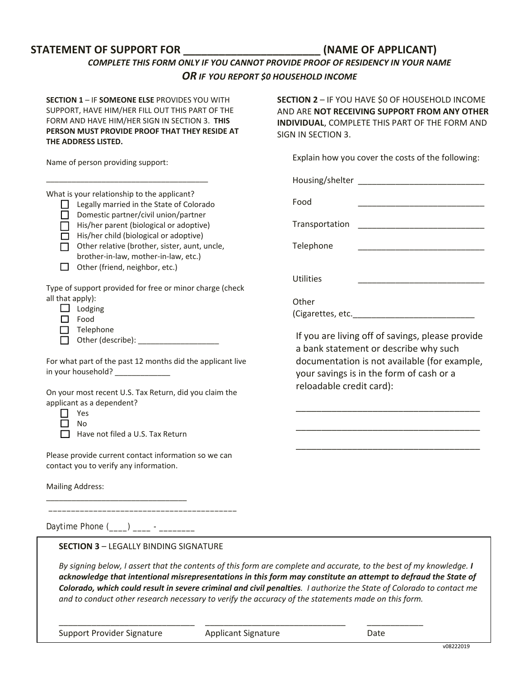### **STATEMENT OF SUPPORT FOR \_\_\_\_\_\_\_\_\_\_\_\_\_\_\_\_\_\_\_\_\_\_\_ (NAME OF APPLICANT)**

## *COMPLETE THIS FORM ONLY IF YOU CANNOT PROVIDE PROOF OF RESIDENCY IN YOUR NAME OR IF YOU REPORT \$0 HOUSEHOLD INCOME*

**SECTION 1** – IF **SOMEONE ELSE** PROVIDES YOU WITH SUPPORT, HAVE HIM/HER FILL OUT THIS PART OF THE FORM AND HAVE HIM/HER SIGN IN SECTION 3. **THIS PERSON MUST PROVIDE PROOF THAT THEY RESIDE AT THE ADDRESS LISTED.**

Name of person providing support:

What is your relationship to the applicant?

\_\_\_\_\_\_\_\_\_\_\_\_\_\_\_\_\_\_\_\_\_\_\_\_\_\_\_\_\_\_\_\_\_\_\_\_\_\_

| $\mathbf{L}$ | Legally married in the State of Colorado |
|--------------|------------------------------------------|
| П            | Domestic partner/civil union/partner     |
| $\Box$       | His/her parent (biological or adoptive)  |
| П            | His/her child (biological or adoptive)   |

 $\Box$  Other relative (brother, sister, aunt, uncle, brother-in-law, mother-in-law, etc.)

 $\Box$  Other (friend, neighbor, etc.)

Type of support provided for free or minor charge (check all that apply):

|  | odging |
|--|--------|
|--|--------|

- $\Box$  Food
- $\Box$  Telephone
- Other (describe): \_\_\_\_\_\_\_\_\_\_\_\_\_\_\_\_\_\_\_

For what part of the past 12 months did the applicant live in your household? \_\_\_\_\_\_\_\_\_\_\_\_\_

On your most recent U.S. Tax Return, did you claim the applicant as a dependent?

□ Yes  $\Box$  No

 $\Box$  Have not filed a U.S. Tax Return

Please provide current contact information so we can contact you to verify any information.

 $\overline{\phantom{a}}$  , and the contract of the contract of the contract of the contract of the contract of the contract of the contract of the contract of the contract of the contract of the contract of the contract of the contrac

Mailing Address:

Daytime Phone (\_\_\_\_) \_\_\_\_ - \_\_\_\_\_\_\_\_

\_\_\_\_\_\_\_\_\_\_\_\_\_\_\_\_\_\_\_\_\_\_\_\_\_\_\_\_\_\_\_\_\_

**SECTION 3** – LEGALLY BINDING SIGNATURE

*By signing below, I assert that the contents of this form are complete and accurate, to the best of my knowledge. I acknowledge that intentional misrepresentations in this form may constitute an attempt to defraud the State of Colorado, which could result in severe criminal and civil penalties. I authorize the State of Colorado to contact me and to conduct other research necessary to verify the accuracy of the statements made on this form.*

Support Provider Signature **Applicant Signature** Date

**SECTION 2** – IF YOU HAVE \$0 OF HOUSEHOLD INCOME AND ARE **NOT RECEIVING SUPPORT FROM ANY OTHER INDIVIDUAL**, COMPLETE THIS PART OF THE FORM AND SIGN IN SECTION 3.

Explain how you cover the costs of the following:

Housing/shelter \_\_\_\_\_\_\_\_\_\_\_\_\_\_\_\_\_\_\_\_\_\_\_\_\_\_\_

Food \_\_\_\_\_\_\_\_\_\_\_\_\_\_\_\_\_\_\_\_\_\_\_\_\_\_\_

Transportation \_\_\_\_\_\_\_\_\_\_\_\_\_\_\_\_\_\_\_\_\_\_\_\_\_\_\_

Telephone

Utilities

**Other** (Cigarettes, etc.\_\_\_\_\_\_\_\_\_\_\_\_\_\_\_\_\_\_\_\_\_\_\_\_\_\_

If you are living off of savings, please provide a bank statement or describe why such documentation is not available (for example, your savings is in the form of cash or a reloadable credit card):

\_\_\_\_\_\_\_\_\_\_\_\_\_\_\_\_\_\_\_\_\_\_\_\_\_\_\_\_\_\_\_\_\_\_\_\_

\_\_\_\_\_\_\_\_\_\_\_\_\_\_\_\_\_\_\_\_\_\_\_\_\_\_\_\_\_\_\_\_\_\_\_\_

\_\_\_\_\_\_\_\_\_\_\_\_\_\_\_\_\_\_\_\_\_\_\_\_\_\_\_\_\_\_\_\_\_\_\_\_